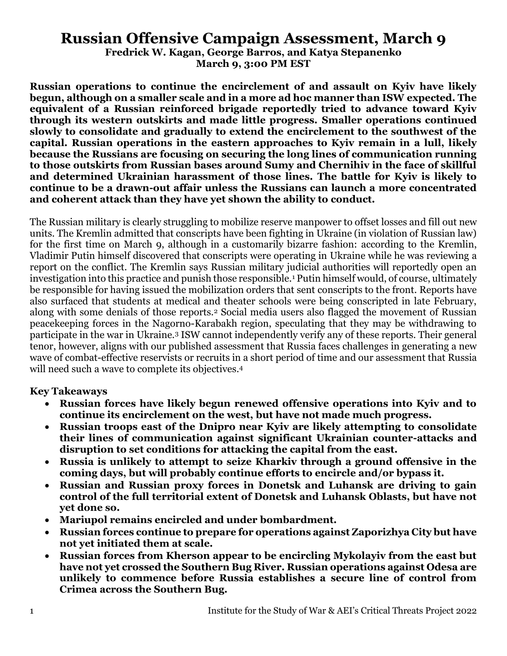# **Russian Offensive Campaign Assessment, March 9**

**Fredrick W. Kagan, George Barros, and Katya Stepanenko March 9, 3:00 PM EST**

**Russian operations to continue the encirclement of and assault on Kyiv have likely begun, although on a smaller scale and in a more ad hoc manner than ISW expected. The equivalent of a Russian reinforced brigade reportedly tried to advance toward Kyiv through its western outskirts and made little progress. Smaller operations continued slowly to consolidate and gradually to extend the encirclement to the southwest of the capital. Russian operations in the eastern approaches to Kyiv remain in a lull, likely because the Russians are focusing on securing the long lines of communication running to those outskirts from Russian bases around Sumy and Chernihiv in the face of skillful and determined Ukrainian harassment of those lines. The battle for Kyiv is likely to continue to be a drawn-out affair unless the Russians can launch a more concentrated and coherent attack than they have yet shown the ability to conduct.**

The Russian military is clearly struggling to mobilize reserve manpower to offset losses and fill out new units. The Kremlin admitted that conscripts have been fighting in Ukraine (in violation of Russian law) for the first time on March 9, although in a customarily bizarre fashion: according to the Kremlin, Vladimir Putin himself discovered that conscripts were operating in Ukraine while he was reviewing a report on the conflict. The Kremlin says Russian military judicial authorities will reportedly open an investigation into this practice and punish those responsible.<sup>1</sup> Putin himself would, of course, ultimately be responsible for having issued the mobilization orders that sent conscripts to the front. Reports have also surfaced that students at medical and theater schools were being conscripted in late February, along with some denials of those reports.<sup>2</sup> Social media users also flagged the movement of Russian peacekeeping forces in the Nagorno-Karabakh region, speculating that they may be withdrawing to participate in the war in Ukraine.<sup>3</sup> ISW cannot independently verify any of these reports. Their general tenor, however, aligns with our published assessment that Russia faces challenges in generating a new wave of combat-effective reservists or recruits in a short period of time and our assessment that Russia will need such a wave to complete its objectives. 4

#### **Key Takeaways**

- **Russian forces have likely begun renewed offensive operations into Kyiv and to continue its encirclement on the west, but have not made much progress.**
- **Russian troops east of the Dnipro near Kyiv are likely attempting to consolidate their lines of communication against significant Ukrainian counter-attacks and disruption to set conditions for attacking the capital from the east.**
- **Russia is unlikely to attempt to seize Kharkiv through a ground offensive in the coming days, but will probably continue efforts to encircle and/or bypass it.**
- **Russian and Russian proxy forces in Donetsk and Luhansk are driving to gain control of the full territorial extent of Donetsk and Luhansk Oblasts, but have not yet done so.**
- **Mariupol remains encircled and under bombardment.**
- **Russian forces continue to prepare for operations against Zaporizhya City but have not yet initiated them at scale.**
- **Russian forces from Kherson appear to be encircling Mykolayiv from the east but have not yet crossed the Southern Bug River. Russian operations against Odesa are unlikely to commence before Russia establishes a secure line of control from Crimea across the Southern Bug.**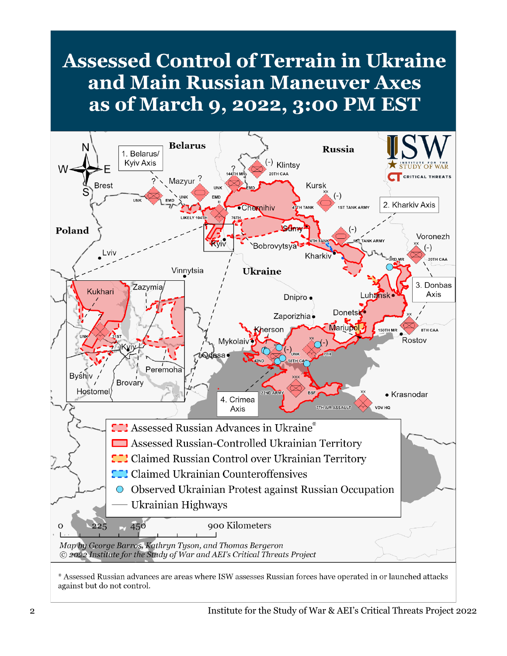# **Assessed Control of Terrain in Ukraine** and Main Russian Maneuver Axes as of March 9, 2022, 3:00 PM EST

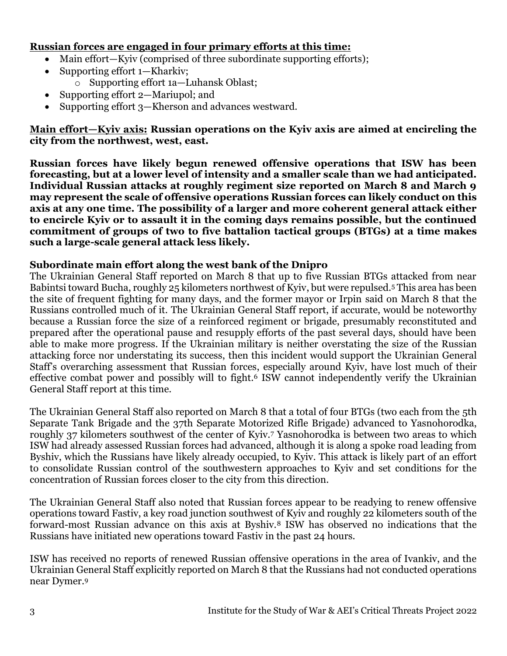#### **Russian forces are engaged in four primary efforts at this time:**

- Main effort—Kyiv (comprised of three subordinate supporting efforts);
- Supporting effort 1—Kharkiv;
	- o Supporting effort 1a—Luhansk Oblast;
- Supporting effort 2—Mariupol; and
- Supporting effort 3—Kherson and advances westward.

**Main effort—Kyiv axis: Russian operations on the Kyiv axis are aimed at encircling the city from the northwest, west, east.** 

**Russian forces have likely begun renewed offensive operations that ISW has been forecasting, but at a lower level of intensity and a smaller scale than we had anticipated. Individual Russian attacks at roughly regiment size reported on March 8 and March 9 may represent the scale of offensive operations Russian forces can likely conduct on this axis at any one time. The possibility of a larger and more coherent general attack either to encircle Kyiv or to assault it in the coming days remains possible, but the continued commitment of groups of two to five battalion tactical groups (BTGs) at a time makes such a large-scale general attack less likely.**

#### **Subordinate main effort along the west bank of the Dnipro**

The Ukrainian General Staff reported on March 8 that up to five Russian BTGs attacked from near Babintsi toward Bucha, roughly 25 kilometers northwest of Kyiv, but were repulsed.<sup>5</sup> This area has been the site of frequent fighting for many days, and the former mayor or Irpin said on March 8 that the Russians controlled much of it. The Ukrainian General Staff report, if accurate, would be noteworthy because a Russian force the size of a reinforced regiment or brigade, presumably reconstituted and prepared after the operational pause and resupply efforts of the past several days, should have been able to make more progress. If the Ukrainian military is neither overstating the size of the Russian attacking force nor understating its success, then this incident would support the Ukrainian General Staff's overarching assessment that Russian forces, especially around Kyiv, have lost much of their effective combat power and possibly will to fight.<sup>6</sup> ISW cannot independently verify the Ukrainian General Staff report at this time.

The Ukrainian General Staff also reported on March 8 that a total of four BTGs (two each from the 5th Separate Tank Brigade and the 37th Separate Motorized Rifle Brigade) advanced to Yasnohorodka, roughly 37 kilometers southwest of the center of Kyiv.<sup>7</sup> Yasnohorodka is between two areas to which ISW had already assessed Russian forces had advanced, although it is along a spoke road leading from Byshiv, which the Russians have likely already occupied, to Kyiv. This attack is likely part of an effort to consolidate Russian control of the southwestern approaches to Kyiv and set conditions for the concentration of Russian forces closer to the city from this direction.

The Ukrainian General Staff also noted that Russian forces appear to be readying to renew offensive operations toward Fastiv, a key road junction southwest of Kyiv and roughly 22 kilometers south of the forward-most Russian advance on this axis at Byshiv.<sup>8</sup> ISW has observed no indications that the Russians have initiated new operations toward Fastiv in the past 24 hours.

ISW has received no reports of renewed Russian offensive operations in the area of Ivankiv, and the Ukrainian General Staff explicitly reported on March 8 that the Russians had not conducted operations near Dymer.9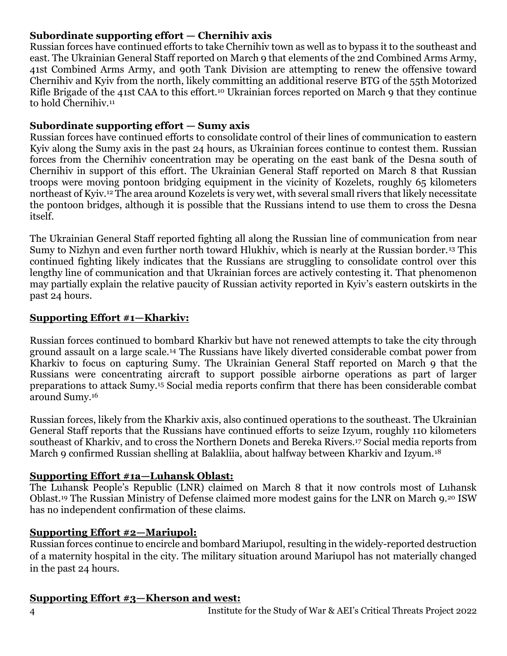# **Subordinate supporting effort — Chernihiv axis**

Russian forces have continued efforts to take Chernihiv town as well as to bypass it to the southeast and east. The Ukrainian General Staff reported on March 9 that elements of the 2nd Combined Arms Army, 41st Combined Arms Army, and 90th Tank Division are attempting to renew the offensive toward Chernihiv and Kyiv from the north, likely committing an additional reserve BTG of the 55th Motorized Rifle Brigade of the 41st CAA to this effort.<sup>10</sup> Ukrainian forces reported on March 9 that they continue to hold Chernihiv.<sup>11</sup>

#### **Subordinate supporting effort — Sumy axis**

Russian forces have continued efforts to consolidate control of their lines of communication to eastern Kyiv along the Sumy axis in the past 24 hours, as Ukrainian forces continue to contest them. Russian forces from the Chernihiv concentration may be operating on the east bank of the Desna south of Chernihiv in support of this effort. The Ukrainian General Staff reported on March 8 that Russian troops were moving pontoon bridging equipment in the vicinity of Kozelets, roughly 65 kilometers northeast of Kyiv.<sup>12</sup> The area around Kozelets is very wet, with several small rivers that likely necessitate the pontoon bridges, although it is possible that the Russians intend to use them to cross the Desna itself.

The Ukrainian General Staff reported fighting all along the Russian line of communication from near Sumy to Nizhyn and even further north toward Hlukhiv, which is nearly at the Russian border.<sup>13</sup> This continued fighting likely indicates that the Russians are struggling to consolidate control over this lengthy line of communication and that Ukrainian forces are actively contesting it. That phenomenon may partially explain the relative paucity of Russian activity reported in Kyiv's eastern outskirts in the past 24 hours.

### **Supporting Effort #1—Kharkiv:**

Russian forces continued to bombard Kharkiv but have not renewed attempts to take the city through ground assault on a large scale.<sup>14</sup> The Russians have likely diverted considerable combat power from Kharkiv to focus on capturing Sumy. The Ukrainian General Staff reported on March 9 that the Russians were concentrating aircraft to support possible airborne operations as part of larger preparations to attack Sumy.<sup>15</sup> Social media reports confirm that there has been considerable combat around Sumy.<sup>16</sup>

Russian forces, likely from the Kharkiv axis, also continued operations to the southeast. The Ukrainian General Staff reports that the Russians have continued efforts to seize Izyum, roughly 110 kilometers southeast of Kharkiv, and to cross the Northern Donets and Bereka Rivers.<sup>17</sup> Social media reports from March 9 confirmed Russian shelling at Balakliia, about halfway between Kharkiv and Izyum.<sup>18</sup>

#### **Supporting Effort #1a—Luhansk Oblast:**

The Luhansk People's Republic (LNR) claimed on March 8 that it now controls most of Luhansk Oblast.<sup>19</sup> The Russian Ministry of Defense claimed more modest gains for the LNR on March 9.<sup>20</sup> ISW has no independent confirmation of these claims.

#### **Supporting Effort #2—Mariupol:**

Russian forces continue to encircle and bombard Mariupol, resulting in the widely-reported destruction of a maternity hospital in the city. The military situation around Mariupol has not materially changed in the past 24 hours.

#### **Supporting Effort #3—Kherson and west:**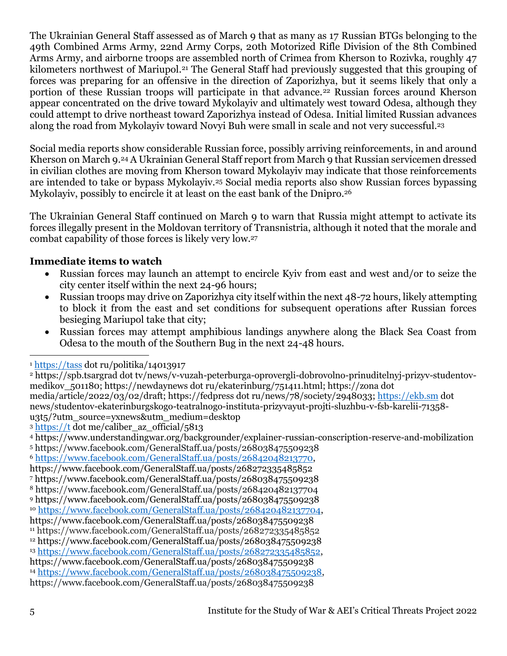The Ukrainian General Staff assessed as of March 9 that as many as 17 Russian BTGs belonging to the 49th Combined Arms Army, 22nd Army Corps, 20th Motorized Rifle Division of the 8th Combined Arms Army, and airborne troops are assembled north of Crimea from Kherson to Rozivka, roughly 47 kilometers northwest of Mariupol.<sup>21</sup> The General Staff had previously suggested that this grouping of forces was preparing for an offensive in the direction of Zaporizhya, but it seems likely that only a portion of these Russian troops will participate in that advance.<sup>22</sup> Russian forces around Kherson appear concentrated on the drive toward Mykolayiv and ultimately west toward Odesa, although they could attempt to drive northeast toward Zaporizhya instead of Odesa. Initial limited Russian advances along the road from Mykolayiv toward Novyi Buh were small in scale and not very successful.<sup>23</sup>

Social media reports show considerable Russian force, possibly arriving reinforcements, in and around Kherson on March 9. <sup>24</sup> A Ukrainian General Staff report from March 9 that Russian servicemen dressed in civilian clothes are moving from Kherson toward Mykolayiv may indicate that those reinforcements are intended to take or bypass Mykolayiv.<sup>25</sup> Social media reports also show Russian forces bypassing Mykolayiv, possibly to encircle it at least on the east bank of the Dnipro.<sup>26</sup>

The Ukrainian General Staff continued on March 9 to warn that Russia might attempt to activate its forces illegally present in the Moldovan territory of Transnistria, although it noted that the morale and combat capability of those forces is likely very low.<sup>27</sup>

# **Immediate items to watch**

- Russian forces may launch an attempt to encircle Kyiv from east and west and/or to seize the city center itself within the next 24-96 hours;
- Russian troops may drive on Zaporizhya city itself within the next 48-72 hours, likely attempting to block it from the east and set conditions for subsequent operations after Russian forces besieging Mariupol take that city;
- Russian forces may attempt amphibious landings anywhere along the Black Sea Coast from Odesa to the mouth of the Southern Bug in the next 24-48 hours.

media/article/2022/03/02/draft; https://fedpress dot ru/news/78/society/2948033; [https://ekb.sm](https://ekb.sm/) dot news/studentov-ekaterinburgskogo-teatralnogo-instituta-prizyvayut-projti-sluzhbu-v-fsb-karelii-71358 u3t5/?utm\_source=yxnews&utm\_medium=desktop

<sup>3</sup> [https://t](https://t/) dot me/caliber\_az\_official/5813

<sup>4</sup> https://www.understandingwar.org/backgrounder/explainer-russian-conscription-reserve-and-mobilization <sup>5</sup> https://www.facebook.com/GeneralStaff.ua/posts/268038475509238

<sup>6</sup> [https://www.facebook.com/GeneralStaff.ua/posts/26842048213770,](https://www.facebook.com/GeneralStaff.ua/posts/26842048213770)

<sup>7</sup> https://www.facebook.com/GeneralStaff.ua/posts/268038475509238

<sup>1</sup> [https://tass](https://tass/) dot ru/politika/14013917

<sup>2</sup> https://spb.tsargrad dot tv/news/v-vuzah-peterburga-oprovergli-dobrovolno-prinuditelnyj-prizyv-studentovmedikov\_501180; https://newdaynews dot ru/ekaterinburg/751411.html; https://zona dot

https://www.facebook.com/GeneralStaff.ua/posts/268272335485852

<sup>8</sup> https://www.facebook.com/GeneralStaff.ua/posts/268420482137704

<sup>9</sup> https://www.facebook.com/GeneralStaff.ua/posts/268038475509238

<sup>10</sup> [https://www.facebook.com/GeneralStaff.ua/posts/268420482137704,](https://www.facebook.com/GeneralStaff.ua/posts/268420482137704) https://www.facebook.com/GeneralStaff.ua/posts/268038475509238

<sup>11</sup> https://www.facebook.com/GeneralStaff.ua/posts/268272335485852

<sup>12</sup> https://www.facebook.com/GeneralStaff.ua/posts/268038475509238

<sup>13</sup> [https://www.facebook.com/GeneralStaff.ua/posts/268272335485852,](https://www.facebook.com/GeneralStaff.ua/posts/268272335485852)

https://www.facebook.com/GeneralStaff.ua/posts/268038475509238

<sup>14</sup> [https://www.facebook.com/GeneralStaff.ua/posts/268038475509238,](https://www.facebook.com/GeneralStaff.ua/posts/268038475509238)

https://www.facebook.com/GeneralStaff.ua/posts/268038475509238